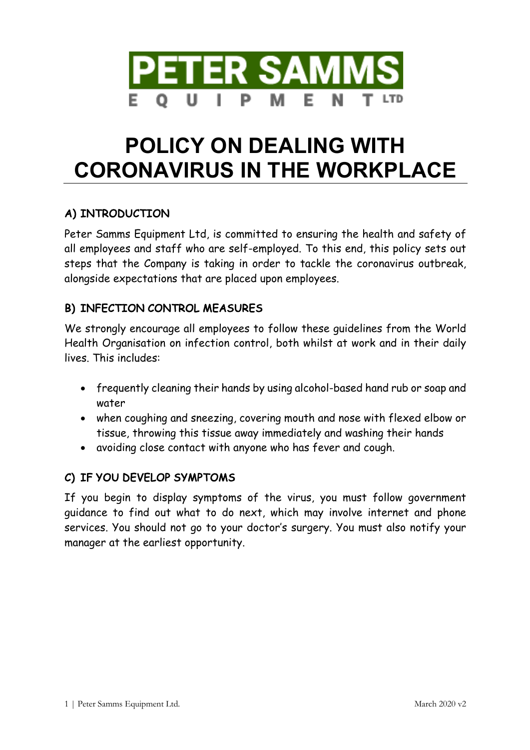

# **POLICY ON DEALING WITH CORONAVIRUS IN THE WORKPLACE**

# A) INTRODUCTION

Peter Samms Equipment Ltd, is committed to ensuring the health and safety of all employees and staff who are self-employed. To this end, this policy sets out steps that the Company is taking in order to tackle the coronavirus outbreak, alongside expectations that are placed upon employees.

#### B) INFECTION CONTROL MEASURES

We strongly encourage all employees to follow these guidelines from the World Health Organisation on infection control, both whilst at work and in their daily lives. This includes:

- frequently cleaning their hands by using alcohol-based hand rub or soap and water
- when coughing and sneezing, covering mouth and nose with flexed elbow or tissue, throwing this tissue away immediately and washing their hands
- avoiding close contact with anyone who has fever and cough.

## C) IF YOU DEVELOP SYMPTOMS

If you begin to display symptoms of the virus, you must follow government guidance to find out what to do next, which may involve internet and phone services. You should not go to your doctor's surgery. You must also notify your manager at the earliest opportunity.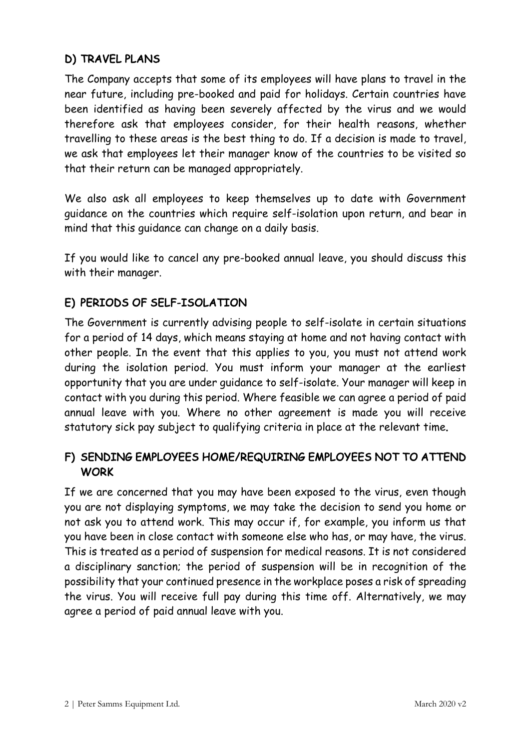# D) TRAVEL PLANS

The Company accepts that some of its employees will have plans to travel in the near future, including pre-booked and paid for holidays. Certain countries have been identified as having been severely affected by the virus and we would therefore ask that employees consider, for their health reasons, whether travelling to these areas is the best thing to do. If a decision is made to travel, we ask that employees let their manager know of the countries to be visited so that their return can be managed appropriately.

We also ask all employees to keep themselves up to date with Government guidance on the countries which require self-isolation upon return, and bear in mind that this guidance can change on a daily basis.

If you would like to cancel any pre-booked annual leave, you should discuss this with their manager.

#### E) PERIODS OF SELF-ISOLATION

The Government is currently advising people to self-isolate in certain situations for a period of 14 days, which means staying at home and not having contact with other people. In the event that this applies to you, you must not attend work during the isolation period. You must inform your manager at the earliest opportunity that you are under guidance to self-isolate. Your manager will keep in contact with you during this period. Where feasible we can agree a period of paid annual leave with you. Where no other agreement is made you will receive statutory sick pay subject to qualifying criteria in place at the relevant time.

## F) SENDING EMPLOYEES HOME/REQUIRING EMPLOYEES NOT TO ATTEND **WORK**

If we are concerned that you may have been exposed to the virus, even though you are not displaying symptoms, we may take the decision to send you home or not ask you to attend work. This may occur if, for example, you inform us that you have been in close contact with someone else who has, or may have, the virus. This is treated as a period of suspension for medical reasons. It is not considered a disciplinary sanction; the period of suspension will be in recognition of the possibility that your continued presence in the workplace poses a risk of spreading the virus. You will receive full pay during this time off. Alternatively, we may agree a period of paid annual leave with you.